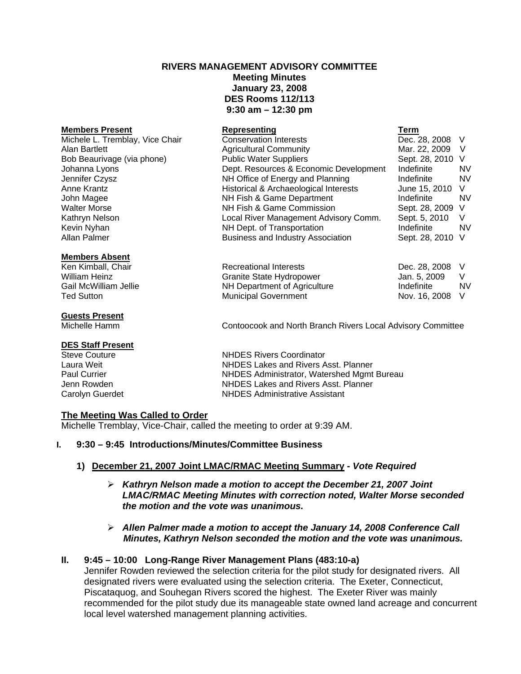# **RIVERS MANAGEMENT ADVISORY COMMITTEE Meeting Minutes January 23, 2008 DES Rooms 112/113 9:30 am – 12:30 pm**

# **Members Present Construction Construction Representing Construction Construction Construction Construction Term**

Michele L. Tremblay, Vice Chair Conservation Interests Conservation Dec. 28, 2008 V

## **Members Absent**

#### **Guests Present**

#### **DES Staff Present**

# Alan Bartlett **Agricultural Community** Mar. 22, 2009 V Bob Beaurivage (via phone) The Public Water Suppliers The Sept. 28, 2010 V Johanna Lyons Dept. Resources & Economic Development Indefinite NV Jennifer Czysz NH Office of Energy and Planning Indefinite NV

Anne Krantz **Historical & Archaeological Interests** June 15, 2010 V John Magee NH Fish & Game Department Indefinite NV Walter Morse **NH Fish & Game Commission** Sept. 28, 2009 V Kathryn Nelson **Local River Management Advisory Comm.** Sept. 5, 2010 V Kevin Nyhan **NH Dept.** of Transportation **NH Dept.** of Transportation **Indefinite** NV Allan Palmer **Business and Industry Association** Sept. 28, 2010 V

Ken Kimball, Chair Recreational Interests Dec. 28, 2008 V William Heinz Granite State Hydropower Jan. 5, 2009 V NH Department of Agriculture Indefinite Indefinite Ted Sutton **Municipal Government** Nov. 16, 2008 V

Michelle Hamm Contoocook and North Branch Rivers Local Advisory Committee

Steve Couture **NHDES** Rivers Coordinator<br>
Laura Weit **NHDES** Lakes and Rivers A Laura Weit NHDES Lakes and Rivers Asst. Planner NHDES Administrator, Watershed Mgmt Bureau Jenn Rowden NHDES Lakes and Rivers Asst. Planner Carolyn Guerdet NHDES Administrative Assistant

## **The Meeting Was Called to Order**

Michelle Tremblay, Vice-Chair, called the meeting to order at 9:39 AM.

## **I. 9:30 – 9:45 Introductions/Minutes/Committee Business**

# **1) December 21, 2007 Joint LMAC/RMAC Meeting Summary -** *Vote Required*

- ¾ *Kathryn Nelson made a motion to accept the December 21, 2007 Joint LMAC/RMAC Meeting Minutes with correction noted, Walter Morse seconded the motion and the vote was unanimous.*
- ¾ *Allen Palmer made a motion to accept the January 14, 2008 Conference Call Minutes, Kathryn Nelson seconded the motion and the vote was unanimous.*

# **II. 9:45 – 10:00 Long-Range River Management Plans (483:10-a)**

Jennifer Rowden reviewed the selection criteria for the pilot study for designated rivers. All designated rivers were evaluated using the selection criteria. The Exeter, Connecticut, Piscataquog, and Souhegan Rivers scored the highest. The Exeter River was mainly recommended for the pilot study due its manageable state owned land acreage and concurrent local level watershed management planning activities.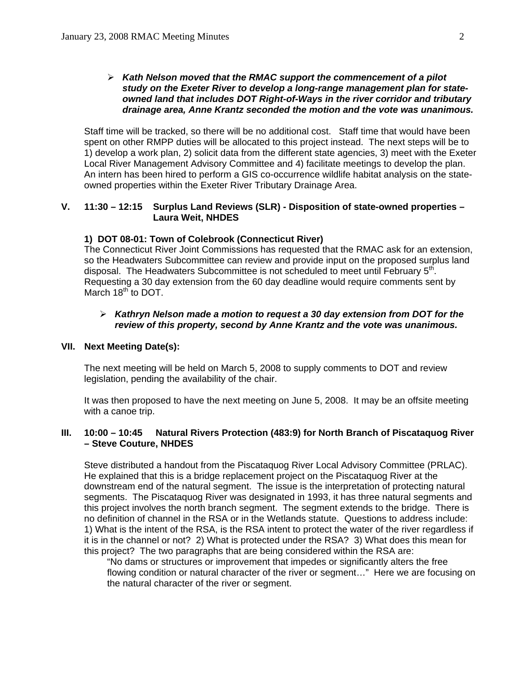## ¾ *Kath Nelson moved that the RMAC support the commencement of a pilot study on the Exeter River to develop a long-range management plan for state owned land that includes DOT Right-of-Ways in the river corridor and tributary drainage area, Anne Krantz seconded the motion and the vote was unanimous.*

Staff time will be tracked, so there will be no additional cost. Staff time that would have been spent on other RMPP duties will be allocated to this project instead. The next steps will be to 1) develop a work plan, 2) solicit data from the different state agencies, 3) meet with the Exeter Local River Management Advisory Committee and 4) facilitate meetings to develop the plan. An intern has been hired to perform a GIS co-occurrence wildlife habitat analysis on the stateowned properties within the Exeter River Tributary Drainage Area.

# **V. 11:30 – 12:15 Surplus Land Reviews (SLR) - Disposition of state-owned properties – Laura Weit, NHDES**

## **1) DOT 08-01: Town of Colebrook (Connecticut River)**

The Connecticut River Joint Commissions has requested that the RMAC ask for an extension, so the Headwaters Subcommittee can review and provide input on the proposed surplus land disposal. The Headwaters Subcommittee is not scheduled to meet until February 5<sup>th</sup>. Requesting a 30 day extension from the 60 day deadline would require comments sent by March 18<sup>th</sup> to DOT.

## ¾ *Kathryn Nelson made a motion to request a 30 day extension from DOT for the review of this property, second by Anne Krantz and the vote was unanimous.*

## **VII. Next Meeting Date(s):**

The next meeting will be held on March 5, 2008 to supply comments to DOT and review legislation, pending the availability of the chair.

 It was then proposed to have the next meeting on June 5, 2008. It may be an offsite meeting with a canoe trip.

## **III. 10:00 – 10:45 Natural Rivers Protection (483:9) for North Branch of Piscataquog River – Steve Couture, NHDES**

Steve distributed a handout from the Piscataquog River Local Advisory Committee (PRLAC). He explained that this is a bridge replacement project on the Piscataquog River at the downstream end of the natural segment. The issue is the interpretation of protecting natural segments. The Piscataquog River was designated in 1993, it has three natural segments and this project involves the north branch segment. The segment extends to the bridge. There is no definition of channel in the RSA or in the Wetlands statute. Questions to address include: 1) What is the intent of the RSA, is the RSA intent to protect the water of the river regardless if it is in the channel or not? 2) What is protected under the RSA? 3) What does this mean for this project? The two paragraphs that are being considered within the RSA are:

"No dams or structures or improvement that impedes or significantly alters the free flowing condition or natural character of the river or segment…" Here we are focusing on the natural character of the river or segment.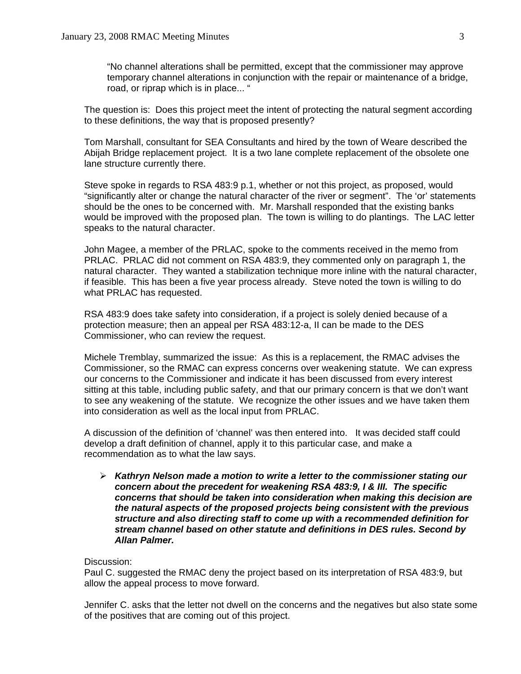"No channel alterations shall be permitted, except that the commissioner may approve temporary channel alterations in conjunction with the repair or maintenance of a bridge, road, or riprap which is in place... "

The question is: Does this project meet the intent of protecting the natural segment according to these definitions, the way that is proposed presently?

Tom Marshall, consultant for SEA Consultants and hired by the town of Weare described the Abijah Bridge replacement project. It is a two lane complete replacement of the obsolete one lane structure currently there.

Steve spoke in regards to RSA 483:9 p.1, whether or not this project, as proposed, would "significantly alter or change the natural character of the river or segment". The 'or' statements should be the ones to be concerned with. Mr. Marshall responded that the existing banks would be improved with the proposed plan. The town is willing to do plantings. The LAC letter speaks to the natural character.

John Magee, a member of the PRLAC, spoke to the comments received in the memo from PRLAC. PRLAC did not comment on RSA 483:9, they commented only on paragraph 1, the natural character. They wanted a stabilization technique more inline with the natural character, if feasible. This has been a five year process already. Steve noted the town is willing to do what PRLAC has requested.

RSA 483:9 does take safety into consideration, if a project is solely denied because of a protection measure; then an appeal per RSA 483:12-a, II can be made to the DES Commissioner, who can review the request.

Michele Tremblay, summarized the issue: As this is a replacement, the RMAC advises the Commissioner, so the RMAC can express concerns over weakening statute. We can express our concerns to the Commissioner and indicate it has been discussed from every interest sitting at this table, including public safety, and that our primary concern is that we don't want to see any weakening of the statute. We recognize the other issues and we have taken them into consideration as well as the local input from PRLAC.

A discussion of the definition of 'channel' was then entered into. It was decided staff could develop a draft definition of channel, apply it to this particular case, and make a recommendation as to what the law says.

¾ *Kathryn Nelson made a motion to write a letter to the commissioner stating our concern about the precedent for weakening RSA 483:9, I & III. The specific concerns that should be taken into consideration when making this decision are the natural aspects of the proposed projects being consistent with the previous structure and also directing staff to come up with a recommended definition for stream channel based on other statute and definitions in DES rules. Second by Allan Palmer.* 

## Discussion:

Paul C. suggested the RMAC deny the project based on its interpretation of RSA 483:9, but allow the appeal process to move forward.

Jennifer C. asks that the letter not dwell on the concerns and the negatives but also state some of the positives that are coming out of this project.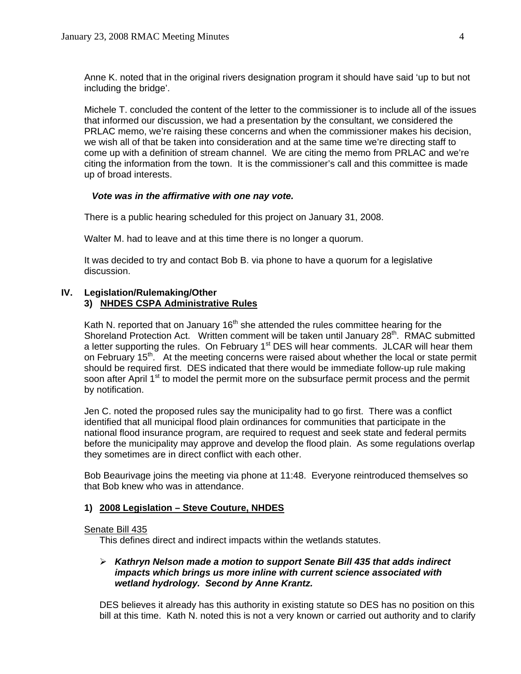Anne K. noted that in the original rivers designation program it should have said 'up to but not including the bridge'.

Michele T. concluded the content of the letter to the commissioner is to include all of the issues that informed our discussion, we had a presentation by the consultant, we considered the PRLAC memo, we're raising these concerns and when the commissioner makes his decision, we wish all of that be taken into consideration and at the same time we're directing staff to come up with a definition of stream channel. We are citing the memo from PRLAC and we're citing the information from the town. It is the commissioner's call and this committee is made up of broad interests.

## *Vote was in the affirmative with one nay vote.*

There is a public hearing scheduled for this project on January 31, 2008.

Walter M. had to leave and at this time there is no longer a quorum.

It was decided to try and contact Bob B. via phone to have a quorum for a legislative discussion.

## **IV. Legislation/Rulemaking/Other 3) NHDES CSPA Administrative Rules**

Kath N. reported that on January  $16<sup>th</sup>$  she attended the rules committee hearing for the Shoreland Protection Act. Written comment will be taken until January 28<sup>th</sup>. RMAC submitted a letter supporting the rules. On February 1<sup>st</sup> DES will hear comments. JLCAR will hear them on February 15<sup>th</sup>. At the meeting concerns were raised about whether the local or state permit should be required first. DES indicated that there would be immediate follow-up rule making soon after April 1<sup>st</sup> to model the permit more on the subsurface permit process and the permit by notification.

 Jen C. noted the proposed rules say the municipality had to go first. There was a conflict identified that all municipal flood plain ordinances for communities that participate in the national flood insurance program, are required to request and seek state and federal permits before the municipality may approve and develop the flood plain. As some regulations overlap they sometimes are in direct conflict with each other.

 Bob Beaurivage joins the meeting via phone at 11:48. Everyone reintroduced themselves so that Bob knew who was in attendance.

## **1) 2008 Legislation – Steve Couture, NHDES**

#### Senate Bill 435

This defines direct and indirect impacts within the wetlands statutes.

## ¾ *Kathryn Nelson made a motion to support Senate Bill 435 that adds indirect impacts which brings us more inline with current science associated with wetland hydrology. Second by Anne Krantz.*

DES believes it already has this authority in existing statute so DES has no position on this bill at this time. Kath N. noted this is not a very known or carried out authority and to clarify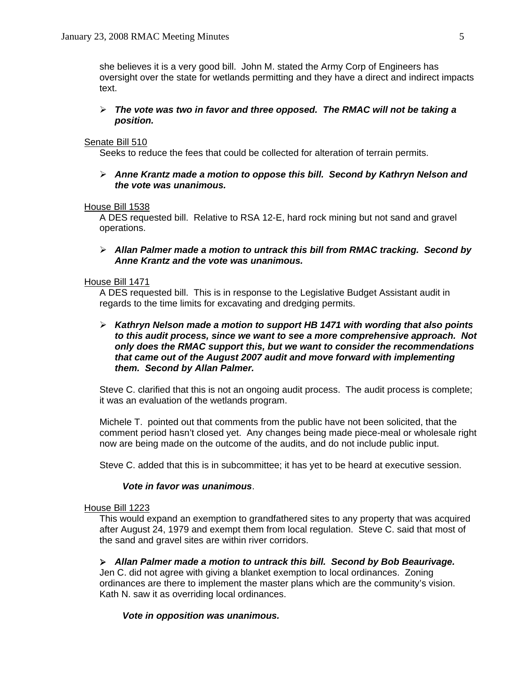she believes it is a very good bill. John M. stated the Army Corp of Engineers has oversight over the state for wetlands permitting and they have a direct and indirect impacts text.

## ¾ *The vote was two in favor and three opposed. The RMAC will not be taking a position.*

## Senate Bill 510

Seeks to reduce the fees that could be collected for alteration of terrain permits.

¾ *Anne Krantz made a motion to oppose this bill. Second by Kathryn Nelson and the vote was unanimous.*

## House Bill 1538

 A DES requested bill. Relative to RSA 12-E, hard rock mining but not sand and gravel operations.

## ¾ *Allan Palmer made a motion to untrack this bill from RMAC tracking. Second by Anne Krantz and the vote was unanimous.*

## House Bill 1471

A DES requested bill. This is in response to the Legislative Budget Assistant audit in regards to the time limits for excavating and dredging permits.

# ¾ *Kathryn Nelson made a motion to support HB 1471 with wording that also points to this audit process, since we want to see a more comprehensive approach. Not only does the RMAC support this, but we want to consider the recommendations that came out of the August 2007 audit and move forward with implementing them. Second by Allan Palmer.*

Steve C. clarified that this is not an ongoing audit process. The audit process is complete; it was an evaluation of the wetlands program.

Michele T. pointed out that comments from the public have not been solicited, that the comment period hasn't closed yet. Any changes being made piece-meal or wholesale right now are being made on the outcome of the audits, and do not include public input.

Steve C. added that this is in subcommittee; it has yet to be heard at executive session.

## *Vote in favor was unanimous*.

#### House Bill 1223

 This would expand an exemption to grandfathered sites to any property that was acquired after August 24, 1979 and exempt them from local regulation. Steve C. said that most of the sand and gravel sites are within river corridors.

## ¾ *Allan Palmer made a motion to untrack this bill. Second by Bob Beaurivage.*

Jen C. did not agree with giving a blanket exemption to local ordinances. Zoning ordinances are there to implement the master plans which are the community's vision. Kath N. saw it as overriding local ordinances.

## *Vote in opposition was unanimous.*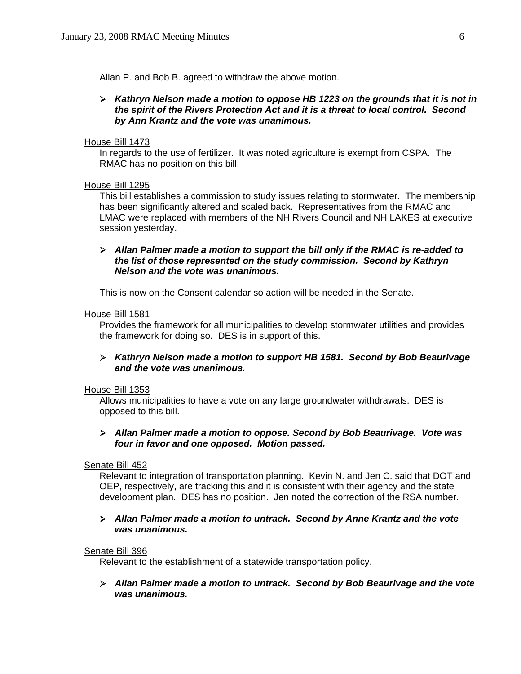Allan P. and Bob B. agreed to withdraw the above motion.

## ¾ *Kathryn Nelson made a motion to oppose HB 1223 on the grounds that it is not in the spirit of the Rivers Protection Act and it is a threat to local control. Second by Ann Krantz and the vote was unanimous.*

#### House Bill 1473

In regards to the use of fertilizer. It was noted agriculture is exempt from CSPA. The RMAC has no position on this bill.

#### House Bill 1295

This bill establishes a commission to study issues relating to stormwater. The membership has been significantly altered and scaled back. Representatives from the RMAC and LMAC were replaced with members of the NH Rivers Council and NH LAKES at executive session yesterday.

## ¾ *Allan Palmer made a motion to support the bill only if the RMAC is re-added to the list of those represented on the study commission. Second by Kathryn Nelson and the vote was unanimous.*

This is now on the Consent calendar so action will be needed in the Senate.

## House Bill 1581

 Provides the framework for all municipalities to develop stormwater utilities and provides the framework for doing so. DES is in support of this.

## ¾ *Kathryn Nelson made a motion to support HB 1581. Second by Bob Beaurivage and the vote was unanimous.*

## House Bill 1353

Allows municipalities to have a vote on any large groundwater withdrawals. DES is opposed to this bill.

## ¾ *Allan Palmer made a motion to oppose. Second by Bob Beaurivage. Vote was four in favor and one opposed. Motion passed.*

#### Senate Bill 452

 Relevant to integration of transportation planning. Kevin N. and Jen C. said that DOT and OEP, respectively, are tracking this and it is consistent with their agency and the state development plan. DES has no position. Jen noted the correction of the RSA number.

## ¾ *Allan Palmer made a motion to untrack. Second by Anne Krantz and the vote was unanimous.*

#### Senate Bill 396

Relevant to the establishment of a statewide transportation policy.

¾ *Allan Palmer made a motion to untrack. Second by Bob Beaurivage and the vote was unanimous.*